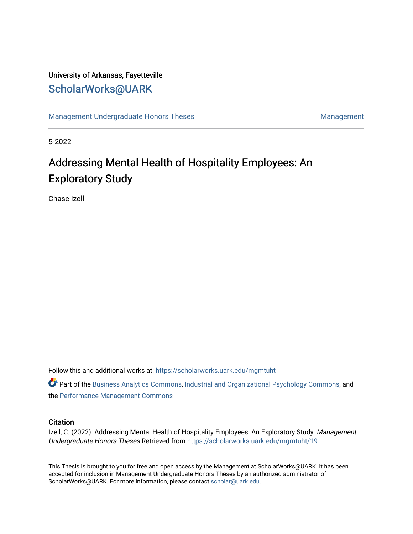# University of Arkansas, Fayetteville [ScholarWorks@UARK](https://scholarworks.uark.edu/)

[Management Undergraduate Honors Theses](https://scholarworks.uark.edu/mgmtuht) [Management](https://scholarworks.uark.edu/mgmt) Management

5-2022

# Addressing Mental Health of Hospitality Employees: An Exploratory Study

Chase Izell

Follow this and additional works at: [https://scholarworks.uark.edu/mgmtuht](https://scholarworks.uark.edu/mgmtuht?utm_source=scholarworks.uark.edu%2Fmgmtuht%2F19&utm_medium=PDF&utm_campaign=PDFCoverPages) 

Part of the [Business Analytics Commons](https://network.bepress.com/hgg/discipline/1398?utm_source=scholarworks.uark.edu%2Fmgmtuht%2F19&utm_medium=PDF&utm_campaign=PDFCoverPages), [Industrial and Organizational Psychology Commons](https://network.bepress.com/hgg/discipline/412?utm_source=scholarworks.uark.edu%2Fmgmtuht%2F19&utm_medium=PDF&utm_campaign=PDFCoverPages), and the [Performance Management Commons](https://network.bepress.com/hgg/discipline/1256?utm_source=scholarworks.uark.edu%2Fmgmtuht%2F19&utm_medium=PDF&utm_campaign=PDFCoverPages)

#### **Citation**

Izell, C. (2022). Addressing Mental Health of Hospitality Employees: An Exploratory Study. Management Undergraduate Honors Theses Retrieved from [https://scholarworks.uark.edu/mgmtuht/19](https://scholarworks.uark.edu/mgmtuht/19?utm_source=scholarworks.uark.edu%2Fmgmtuht%2F19&utm_medium=PDF&utm_campaign=PDFCoverPages) 

This Thesis is brought to you for free and open access by the Management at ScholarWorks@UARK. It has been accepted for inclusion in Management Undergraduate Honors Theses by an authorized administrator of ScholarWorks@UARK. For more information, please contact [scholar@uark.edu](mailto:scholar@uark.edu).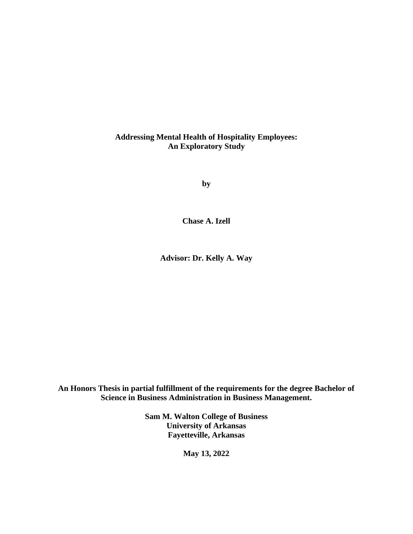### **Addressing Mental Health of Hospitality Employees: An Exploratory Study**

**by**

**Chase A. Izell**

**Advisor: Dr. Kelly A. Way**

**An Honors Thesis in partial fulfillment of the requirements for the degree Bachelor of Science in Business Administration in Business Management.**

> **Sam M. Walton College of Business University of Arkansas Fayetteville, Arkansas**

> > **May 13, 2022**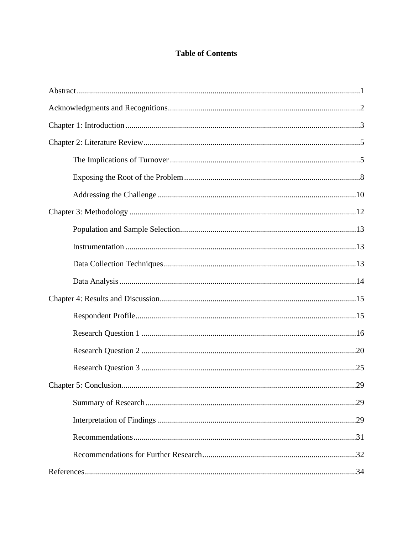# **Table of Contents**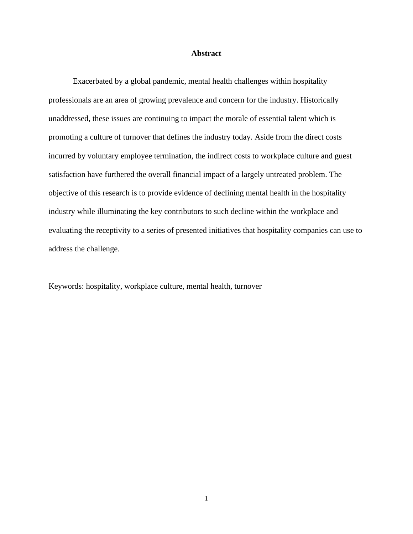#### **Abstract**

Exacerbated by a global pandemic, mental health challenges within hospitality professionals are an area of growing prevalence and concern for the industry. Historically unaddressed, these issues are continuing to impact the morale of essential talent which is promoting a culture of turnover that defines the industry today. Aside from the direct costs incurred by voluntary employee termination, the indirect costs to workplace culture and guest satisfaction have furthered the overall financial impact of a largely untreated problem. The objective of this research is to provide evidence of declining mental health in the hospitality industry while illuminating the key contributors to such decline within the workplace and evaluating the receptivity to a series of presented initiatives that hospitality companies can use to address the challenge.

Keywords: hospitality, workplace culture, mental health, turnover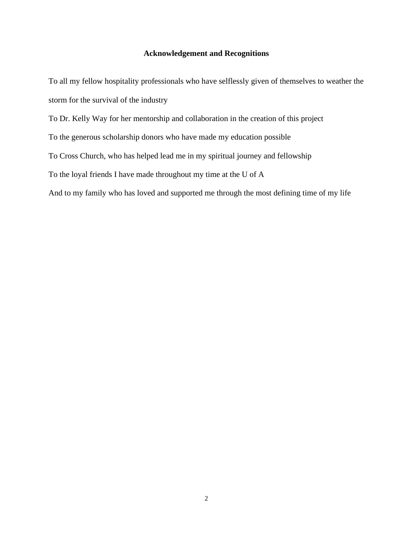### **Acknowledgement and Recognitions**

To all my fellow hospitality professionals who have selflessly given of themselves to weather the storm for the survival of the industry

To Dr. Kelly Way for her mentorship and collaboration in the creation of this project

To the generous scholarship donors who have made my education possible

To Cross Church, who has helped lead me in my spiritual journey and fellowship

To the loyal friends I have made throughout my time at the U of A

And to my family who has loved and supported me through the most defining time of my life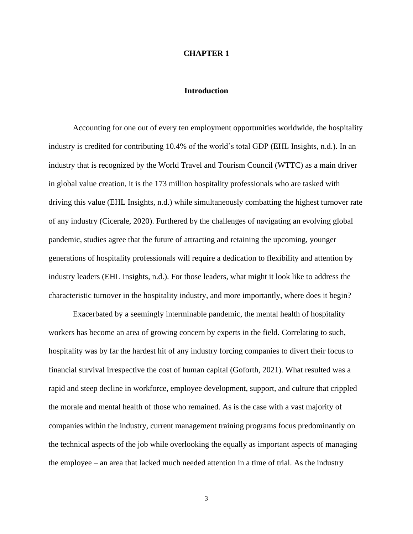#### **CHAPTER 1**

#### **Introduction**

Accounting for one out of every ten employment opportunities worldwide, the hospitality industry is credited for contributing 10.4% of the world's total GDP (EHL Insights, n.d.). In an industry that is recognized by the World Travel and Tourism Council (WTTC) as a main driver in global value creation, it is the 173 million hospitality professionals who are tasked with driving this value (EHL Insights, n.d.) while simultaneously combatting the highest turnover rate of any industry (Cicerale, 2020). Furthered by the challenges of navigating an evolving global pandemic, studies agree that the future of attracting and retaining the upcoming, younger generations of hospitality professionals will require a dedication to flexibility and attention by industry leaders (EHL Insights, n.d.). For those leaders, what might it look like to address the characteristic turnover in the hospitality industry, and more importantly, where does it begin?

Exacerbated by a seemingly interminable pandemic, the mental health of hospitality workers has become an area of growing concern by experts in the field. Correlating to such, hospitality was by far the hardest hit of any industry forcing companies to divert their focus to financial survival irrespective the cost of human capital (Goforth, 2021). What resulted was a rapid and steep decline in workforce, employee development, support, and culture that crippled the morale and mental health of those who remained. As is the case with a vast majority of companies within the industry, current management training programs focus predominantly on the technical aspects of the job while overlooking the equally as important aspects of managing the employee – an area that lacked much needed attention in a time of trial. As the industry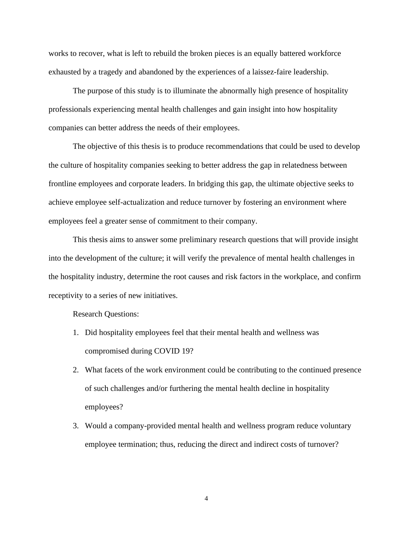works to recover, what is left to rebuild the broken pieces is an equally battered workforce exhausted by a tragedy and abandoned by the experiences of a laissez-faire leadership.

The purpose of this study is to illuminate the abnormally high presence of hospitality professionals experiencing mental health challenges and gain insight into how hospitality companies can better address the needs of their employees.

The objective of this thesis is to produce recommendations that could be used to develop the culture of hospitality companies seeking to better address the gap in relatedness between frontline employees and corporate leaders. In bridging this gap, the ultimate objective seeks to achieve employee self-actualization and reduce turnover by fostering an environment where employees feel a greater sense of commitment to their company.

This thesis aims to answer some preliminary research questions that will provide insight into the development of the culture; it will verify the prevalence of mental health challenges in the hospitality industry, determine the root causes and risk factors in the workplace, and confirm receptivity to a series of new initiatives.

Research Questions:

- 1. Did hospitality employees feel that their mental health and wellness was compromised during COVID 19?
- 2. What facets of the work environment could be contributing to the continued presence of such challenges and/or furthering the mental health decline in hospitality employees?
- 3. Would a company-provided mental health and wellness program reduce voluntary employee termination; thus, reducing the direct and indirect costs of turnover?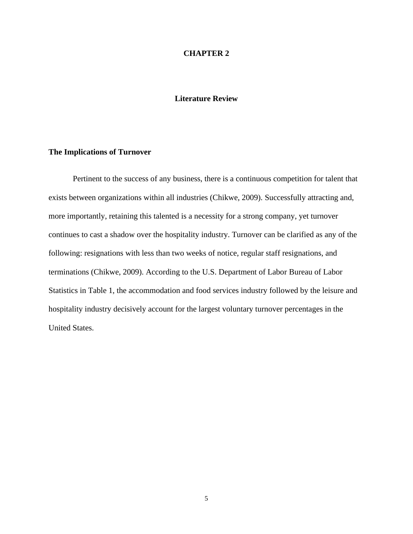### **CHAPTER 2**

### **Literature Review**

### **The Implications of Turnover**

Pertinent to the success of any business, there is a continuous competition for talent that exists between organizations within all industries (Chikwe, 2009). Successfully attracting and, more importantly, retaining this talented is a necessity for a strong company, yet turnover continues to cast a shadow over the hospitality industry. Turnover can be clarified as any of the following: resignations with less than two weeks of notice, regular staff resignations, and terminations (Chikwe, 2009). According to the U.S. Department of Labor Bureau of Labor Statistics in Table 1, the accommodation and food services industry followed by the leisure and hospitality industry decisively account for the largest voluntary turnover percentages in the United States.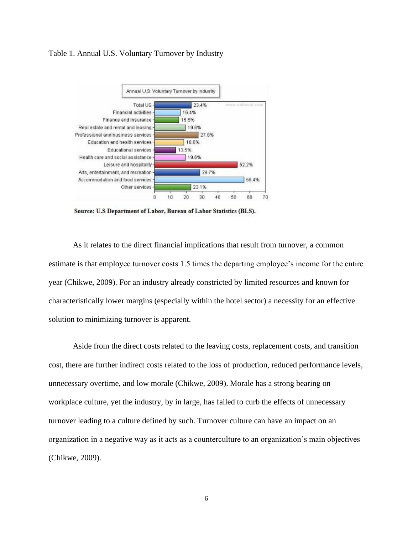#### Table 1. Annual U.S. Voluntary Turnover by Industry



Source: U.S Department of Labor, Bureau of Labor Statistics (BLS).

As it relates to the direct financial implications that result from turnover, a common estimate is that employee turnover costs 1.5 times the departing employee's income for the entire year (Chikwe, 2009). For an industry already constricted by limited resources and known for characteristically lower margins (especially within the hotel sector) a necessity for an effective solution to minimizing turnover is apparent.

Aside from the direct costs related to the leaving costs, replacement costs, and transition cost, there are further indirect costs related to the loss of production, reduced performance levels, unnecessary overtime, and low morale (Chikwe, 2009). Morale has a strong bearing on workplace culture, yet the industry, by in large, has failed to curb the effects of unnecessary turnover leading to a culture defined by such. Turnover culture can have an impact on an organization in a negative way as it acts as a counterculture to an organization's main objectives (Chikwe, 2009).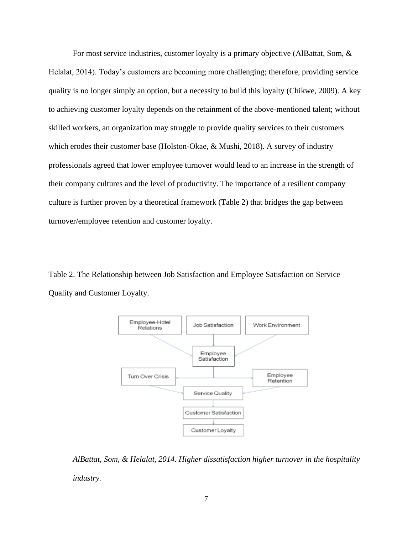For most service industries, customer loyalty is a primary objective (AlBattat, Som, & Helalat, 2014). Today's customers are becoming more challenging; therefore, providing service quality is no longer simply an option, but a necessity to build this loyalty (Chikwe, 2009). A key to achieving customer loyalty depends on the retainment of the above-mentioned talent; without skilled workers, an organization may struggle to provide quality services to their customers which erodes their customer base (Holston-Okae, & Mushi, 2018). A survey of industry professionals agreed that lower employee turnover would lead to an increase in the strength of their company cultures and the level of productivity. The importance of a resilient company culture is further proven by a theoretical framework (Table 2) that bridges the gap between turnover/employee retention and customer loyalty.

Table 2. The Relationship between Job Satisfaction and Employee Satisfaction on Service Quality and Customer Loyalty.



*AlBattat, Som, & Helalat, 2014. Higher dissatisfaction higher turnover in the hospitality industry.*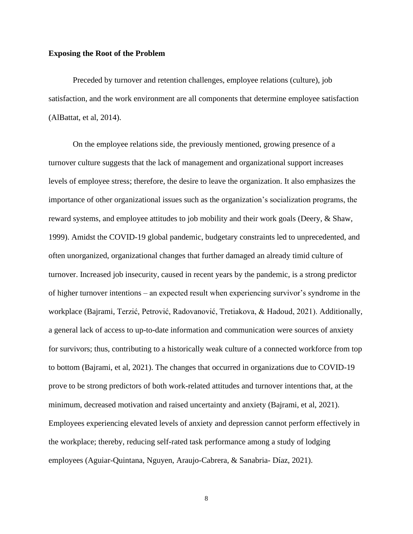#### **Exposing the Root of the Problem**

Preceded by turnover and retention challenges, employee relations (culture), job satisfaction, and the work environment are all components that determine employee satisfaction (AlBattat, et al, 2014).

On the employee relations side, the previously mentioned, growing presence of a turnover culture suggests that the lack of management and organizational support increases levels of employee stress; therefore, the desire to leave the organization. It also emphasizes the importance of other organizational issues such as the organization's socialization programs, the reward systems, and employee attitudes to job mobility and their work goals (Deery, & Shaw, 1999). Amidst the COVID-19 global pandemic, budgetary constraints led to unprecedented, and often unorganized, organizational changes that further damaged an already timid culture of turnover. Increased job insecurity, caused in recent years by the pandemic, is a strong predictor of higher turnover intentions – an expected result when experiencing survivor's syndrome in the workplace (Bajrami, Terzić, Petrović, Radovanović, Tretiakova, & Hadoud, 2021). Additionally, a general lack of access to up-to-date information and communication were sources of anxiety for survivors; thus, contributing to a historically weak culture of a connected workforce from top to bottom (Bajrami, et al, 2021). The changes that occurred in organizations due to COVID-19 prove to be strong predictors of both work-related attitudes and turnover intentions that, at the minimum, decreased motivation and raised uncertainty and anxiety (Bajrami, et al, 2021). Employees experiencing elevated levels of anxiety and depression cannot perform effectively in the workplace; thereby, reducing self-rated task performance among a study of lodging employees (Aguiar-Quintana, Nguyen, Araujo-Cabrera, & Sanabria- Díaz, 2021).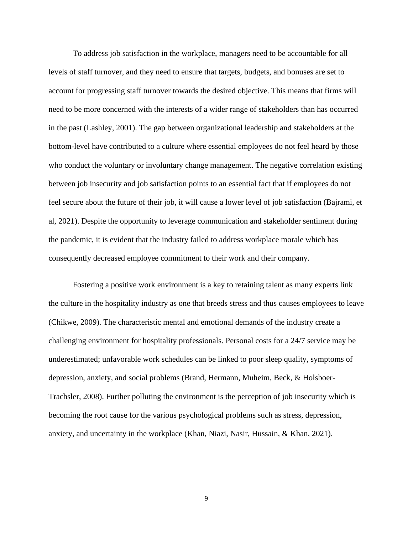To address job satisfaction in the workplace, managers need to be accountable for all levels of staff turnover, and they need to ensure that targets, budgets, and bonuses are set to account for progressing staff turnover towards the desired objective. This means that firms will need to be more concerned with the interests of a wider range of stakeholders than has occurred in the past (Lashley, 2001). The gap between organizational leadership and stakeholders at the bottom-level have contributed to a culture where essential employees do not feel heard by those who conduct the voluntary or involuntary change management. The negative correlation existing between job insecurity and job satisfaction points to an essential fact that if employees do not feel secure about the future of their job, it will cause a lower level of job satisfaction (Bajrami, et al, 2021). Despite the opportunity to leverage communication and stakeholder sentiment during the pandemic, it is evident that the industry failed to address workplace morale which has consequently decreased employee commitment to their work and their company.

Fostering a positive work environment is a key to retaining talent as many experts link the culture in the hospitality industry as one that breeds stress and thus causes employees to leave (Chikwe, 2009). The characteristic mental and emotional demands of the industry create a challenging environment for hospitality professionals. Personal costs for a 24/7 service may be underestimated; unfavorable work schedules can be linked to poor sleep quality, symptoms of depression, anxiety, and social problems (Brand, Hermann, Muheim, Beck, & Holsboer-Trachsler, 2008). Further polluting the environment is the perception of job insecurity which is becoming the root cause for the various psychological problems such as stress, depression, anxiety, and uncertainty in the workplace (Khan, Niazi, Nasir, Hussain, & Khan, 2021).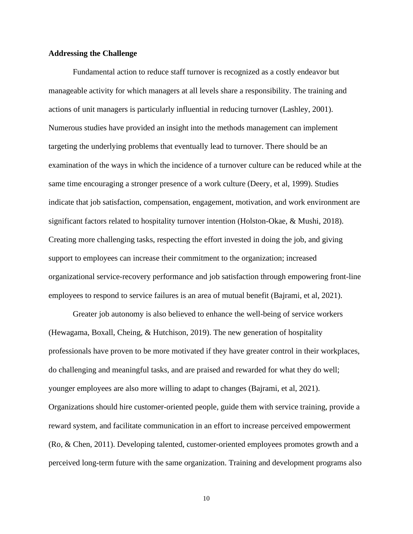#### **Addressing the Challenge**

Fundamental action to reduce staff turnover is recognized as a costly endeavor but manageable activity for which managers at all levels share a responsibility. The training and actions of unit managers is particularly influential in reducing turnover (Lashley, 2001). Numerous studies have provided an insight into the methods management can implement targeting the underlying problems that eventually lead to turnover. There should be an examination of the ways in which the incidence of a turnover culture can be reduced while at the same time encouraging a stronger presence of a work culture (Deery, et al, 1999). Studies indicate that job satisfaction, compensation, engagement, motivation, and work environment are significant factors related to hospitality turnover intention (Holston-Okae, & Mushi, 2018). Creating more challenging tasks, respecting the effort invested in doing the job, and giving support to employees can increase their commitment to the organization; increased organizational service-recovery performance and job satisfaction through empowering front-line employees to respond to service failures is an area of mutual benefit (Bajrami, et al, 2021).

Greater job autonomy is also believed to enhance the well-being of service workers (Hewagama, Boxall, Cheing, & Hutchison, 2019). The new generation of hospitality professionals have proven to be more motivated if they have greater control in their workplaces, do challenging and meaningful tasks, and are praised and rewarded for what they do well; younger employees are also more willing to adapt to changes (Bajrami, et al, 2021). Organizations should hire customer-oriented people, guide them with service training, provide a reward system, and facilitate communication in an effort to increase perceived empowerment (Ro, & Chen, 2011). Developing talented, customer-oriented employees promotes growth and a perceived long-term future with the same organization. Training and development programs also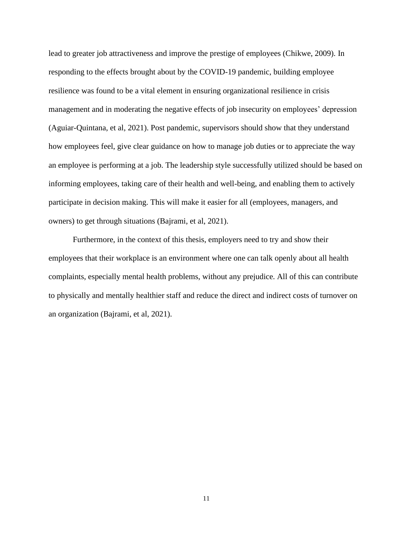lead to greater job attractiveness and improve the prestige of employees (Chikwe, 2009). In responding to the effects brought about by the COVID-19 pandemic, building employee resilience was found to be a vital element in ensuring organizational resilience in crisis management and in moderating the negative effects of job insecurity on employees' depression (Aguiar-Quintana, et al, 2021). Post pandemic, supervisors should show that they understand how employees feel, give clear guidance on how to manage job duties or to appreciate the way an employee is performing at a job. The leadership style successfully utilized should be based on informing employees, taking care of their health and well-being, and enabling them to actively participate in decision making. This will make it easier for all (employees, managers, and owners) to get through situations (Bajrami, et al, 2021).

Furthermore, in the context of this thesis, employers need to try and show their employees that their workplace is an environment where one can talk openly about all health complaints, especially mental health problems, without any prejudice. All of this can contribute to physically and mentally healthier staff and reduce the direct and indirect costs of turnover on an organization (Bajrami, et al, 2021).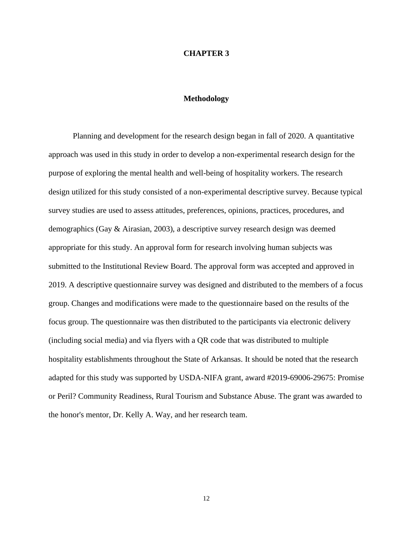#### **CHAPTER 3**

#### **Methodology**

Planning and development for the research design began in fall of 2020. A quantitative approach was used in this study in order to develop a non-experimental research design for the purpose of exploring the mental health and well-being of hospitality workers. The research design utilized for this study consisted of a non-experimental descriptive survey. Because typical survey studies are used to assess attitudes, preferences, opinions, practices, procedures, and demographics (Gay & Airasian, 2003), a descriptive survey research design was deemed appropriate for this study. An approval form for research involving human subjects was submitted to the Institutional Review Board. The approval form was accepted and approved in 2019. A descriptive questionnaire survey was designed and distributed to the members of a focus group. Changes and modifications were made to the questionnaire based on the results of the focus group. The questionnaire was then distributed to the participants via electronic delivery (including social media) and via flyers with a QR code that was distributed to multiple hospitality establishments throughout the State of Arkansas. It should be noted that the research adapted for this study was supported by USDA-NIFA grant, award #2019-69006-29675: Promise or Peril? Community Readiness, Rural Tourism and Substance Abuse. The grant was awarded to the honor's mentor, Dr. Kelly A. Way, and her research team.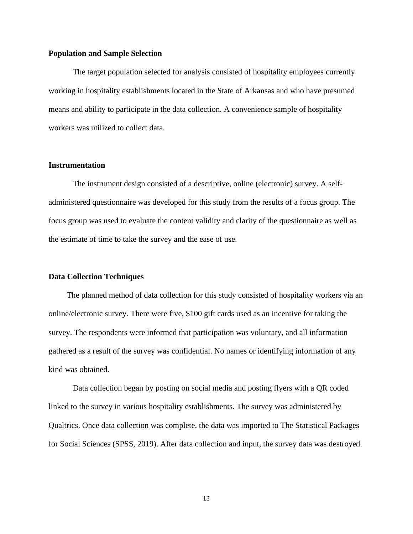#### **Population and Sample Selection**

The target population selected for analysis consisted of hospitality employees currently working in hospitality establishments located in the State of Arkansas and who have presumed means and ability to participate in the data collection. A convenience sample of hospitality workers was utilized to collect data.

#### **Instrumentation**

The instrument design consisted of a descriptive, online (electronic) survey. A selfadministered questionnaire was developed for this study from the results of a focus group. The focus group was used to evaluate the content validity and clarity of the questionnaire as well as the estimate of time to take the survey and the ease of use.

#### **Data Collection Techniques**

The planned method of data collection for this study consisted of hospitality workers via an online/electronic survey. There were five, \$100 gift cards used as an incentive for taking the survey. The respondents were informed that participation was voluntary, and all information gathered as a result of the survey was confidential. No names or identifying information of any kind was obtained.

Data collection began by posting on social media and posting flyers with a QR coded linked to the survey in various hospitality establishments. The survey was administered by Qualtrics. Once data collection was complete, the data was imported to The Statistical Packages for Social Sciences (SPSS, 2019). After data collection and input, the survey data was destroyed.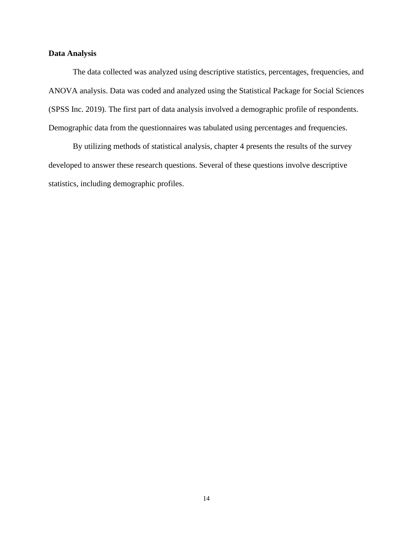### **Data Analysis**

The data collected was analyzed using descriptive statistics, percentages, frequencies, and ANOVA analysis. Data was coded and analyzed using the Statistical Package for Social Sciences (SPSS Inc. 2019). The first part of data analysis involved a demographic profile of respondents. Demographic data from the questionnaires was tabulated using percentages and frequencies.

By utilizing methods of statistical analysis, chapter 4 presents the results of the survey developed to answer these research questions. Several of these questions involve descriptive statistics, including demographic profiles.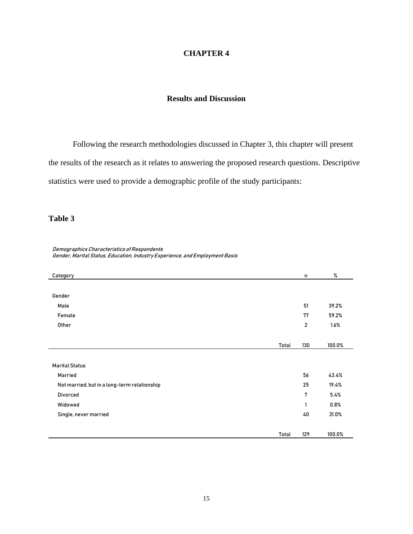### **CHAPTER 4**

### **Results and Discussion**

Following the research methodologies discussed in Chapter 3, this chapter will present

the results of the research as it relates to answering the proposed research questions. Descriptive

statistics were used to provide a demographic profile of the study participants:

### **Table 3**

| Demographics Characteristics of Respondents                                  |
|------------------------------------------------------------------------------|
| Gender, Marital Status, Education, Industry Experience, and Employment Basis |

| Category                                     |       | n            | %      |
|----------------------------------------------|-------|--------------|--------|
|                                              |       |              |        |
| Gender                                       |       |              |        |
| Male                                         |       | 51           | 39.2%  |
| Female                                       |       | 77           | 59.2%  |
| Other                                        |       | $\mathbf{2}$ | 1.6%   |
|                                              |       |              |        |
|                                              | Total | 130          | 100.0% |
|                                              |       |              |        |
| <b>Marital Status</b>                        |       |              |        |
| Married                                      |       | 56           | 43.4%  |
| Not married, but in a long-term relationship |       | 25           | 19.4%  |
| <b>Divorced</b>                              |       | 7            | 5.4%   |
| Widowed                                      |       | 1            | 0.8%   |
| Single, never married                        |       | 40           | 31.0%  |
|                                              |       |              |        |
|                                              | Total | 129          | 100.0% |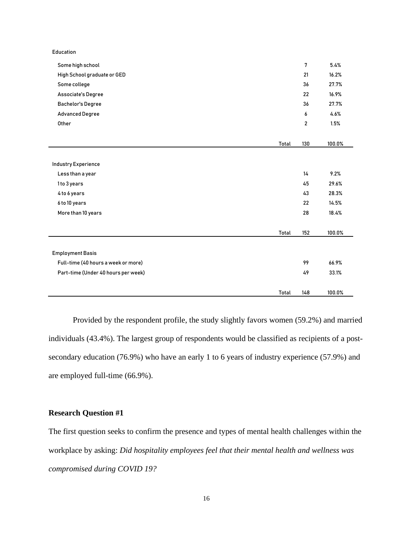| Some high school                    |       | 7              | 5.4%   |
|-------------------------------------|-------|----------------|--------|
| High School graduate or GED         |       | 21             | 16.2%  |
| Some college                        |       | 36             | 27.7%  |
| Associate's Degree                  |       | 22             | 16.9%  |
| <b>Bachelor's Degree</b>            |       | 36             | 27.7%  |
| <b>Advanced Degree</b>              |       | 6              | 4.6%   |
| Other                               |       | $\overline{2}$ | 1.5%   |
|                                     |       |                |        |
|                                     | Total | 130            | 100.0% |
|                                     |       |                |        |
| <b>Industry Experience</b>          |       |                |        |
| Less than a year                    |       | 14             | 9.2%   |
| 1 to 3 years                        |       | 45             | 29.6%  |
| 4 to 6 years                        |       | 43             | 28.3%  |
| 6 to 10 years                       |       | 22             | 14.5%  |
| More than 10 years                  |       | 28             | 18.4%  |
|                                     |       |                |        |
|                                     | Total | 152            | 100.0% |
|                                     |       |                |        |
| <b>Employment Basis</b>             |       |                |        |
| Full-time (40 hours a week or more) |       | 99             | 66.9%  |
| Part-time (Under 40 hours per week) |       | 49             | 33.1%  |
|                                     |       |                |        |
|                                     | Total | 148            | 100.0% |

Provided by the respondent profile, the study slightly favors women (59.2%) and married individuals (43.4%). The largest group of respondents would be classified as recipients of a postsecondary education (76.9%) who have an early 1 to 6 years of industry experience (57.9%) and are employed full-time (66.9%).

### **Research Question #1**

Education

The first question seeks to confirm the presence and types of mental health challenges within the workplace by asking: *Did hospitality employees feel that their mental health and wellness was compromised during COVID 19?*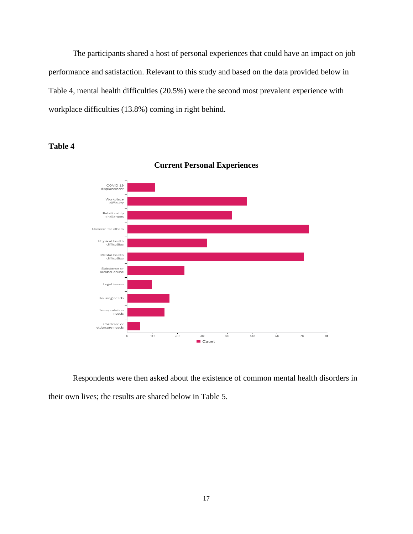The participants shared a host of personal experiences that could have an impact on job performance and satisfaction. Relevant to this study and based on the data provided below in Table 4, mental health difficulties (20.5%) were the second most prevalent experience with workplace difficulties (13.8%) coming in right behind.

### **Table 4**



**Current Personal Experiences**

Respondents were then asked about the existence of common mental health disorders in their own lives; the results are shared below in Table 5.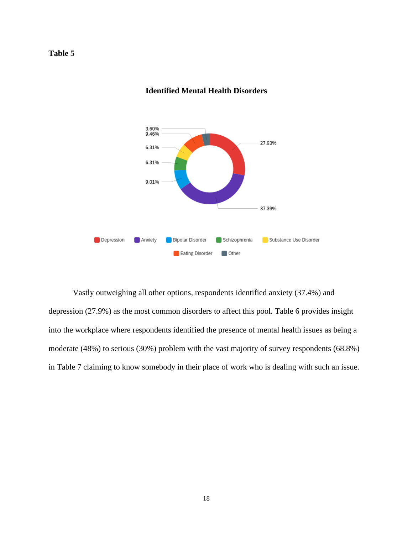

### **Identified Mental Health Disorders**

Vastly outweighing all other options, respondents identified anxiety (37.4%) and depression (27.9%) as the most common disorders to affect this pool. Table 6 provides insight into the workplace where respondents identified the presence of mental health issues as being a moderate (48%) to serious (30%) problem with the vast majority of survey respondents (68.8%) in Table 7 claiming to know somebody in their place of work who is dealing with such an issue.

### **Table 5**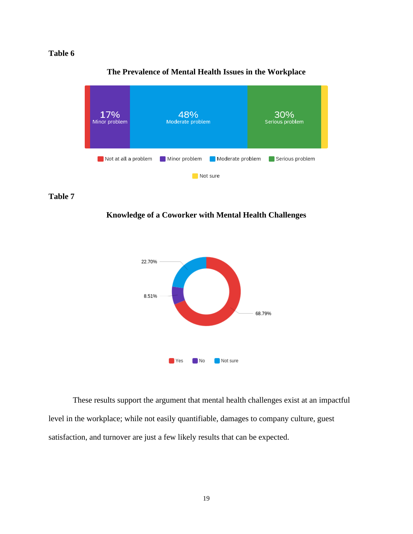

### **The Prevalence of Mental Health Issues in the Workplace**

#### **Table 7**

**Knowledge of a Coworker with Mental Health Challenges**



These results support the argument that mental health challenges exist at an impactful level in the workplace; while not easily quantifiable, damages to company culture, guest satisfaction, and turnover are just a few likely results that can be expected.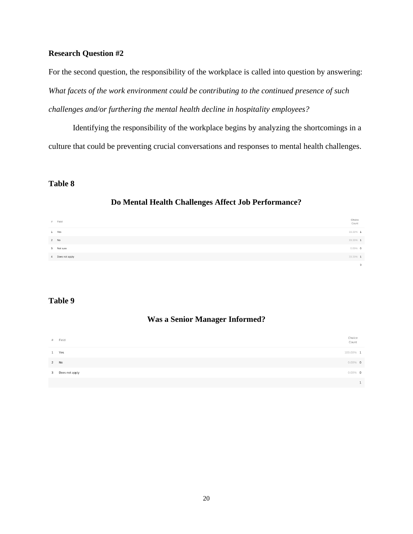### **Research Question #2**

For the second question, the responsibility of the workplace is called into question by answering: *What facets of the work environment could be contributing to the continued presence of such challenges and/or furthering the mental health decline in hospitality employees?*

Identifying the responsibility of the workplace begins by analyzing the shortcomings in a culture that could be preventing crucial conversations and responses to mental health challenges.

### **Table 8**

### **Do Mental Health Challenges Affect Job Performance?**

| # Field          | Choice<br>Count         |
|------------------|-------------------------|
| 1 Yes            | 33.33% 1                |
| 2 No             | 33.3396 1               |
| 3 Not sure       | $0.00\%$ 0              |
| 4 Does not apply | 33.33% 1                |
|                  | $\overline{\mathbf{3}}$ |

### **Table 9**

### **Was a Senior Manager Informed?**

| # Field          | Choice<br>Count |
|------------------|-----------------|
| 1 Yes            | 100.00% 1       |
| 2 No             | $0.00\%$ 0      |
| 3 Does not apply | $0.00\%$ 0      |
|                  |                 |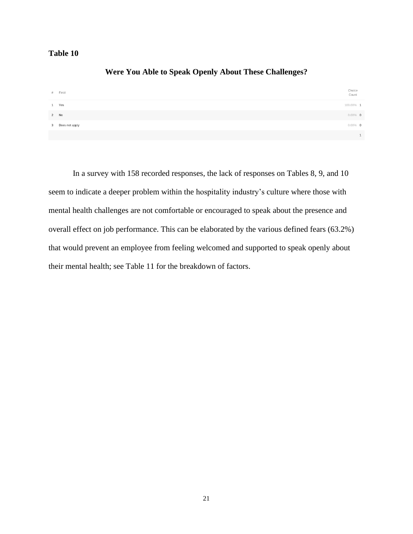| <b>Were You Able to Speak Openly About These Challenges?</b> |  |
|--------------------------------------------------------------|--|
|--------------------------------------------------------------|--|

| # Field          | Choice<br>Count |
|------------------|-----------------|
| Yes<br>1         | 100.00% 1       |
| 2 No             | $0.00\%$ 0      |
| 3 Does not apply | $0.00\%$ 0      |
|                  | $\mathbf{1}$    |

In a survey with 158 recorded responses, the lack of responses on Tables 8, 9, and 10 seem to indicate a deeper problem within the hospitality industry's culture where those with mental health challenges are not comfortable or encouraged to speak about the presence and overall effect on job performance. This can be elaborated by the various defined fears (63.2%) that would prevent an employee from feeling welcomed and supported to speak openly about their mental health; see Table 11 for the breakdown of factors.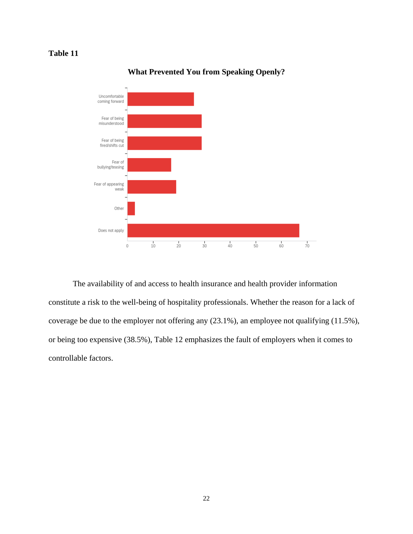

### **What Prevented You from Speaking Openly?**

The availability of and access to health insurance and health provider information constitute a risk to the well-being of hospitality professionals. Whether the reason for a lack of coverage be due to the employer not offering any (23.1%), an employee not qualifying (11.5%), or being too expensive (38.5%), Table 12 emphasizes the fault of employers when it comes to controllable factors.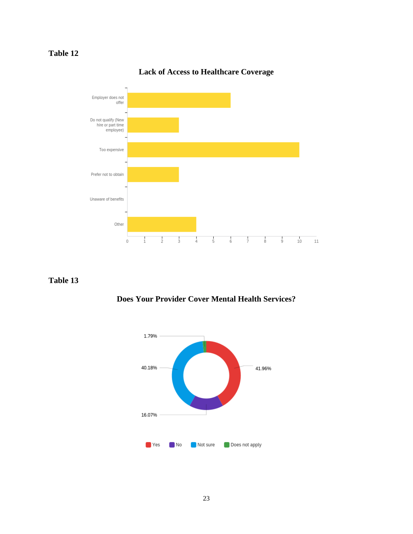

# **Lack of Access to Healthcare Coverage**

### **Table 13**



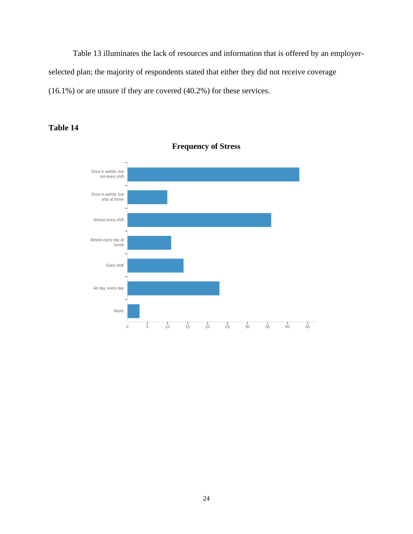Table 13 illuminates the lack of resources and information that is offered by an employerselected plan; the majority of respondents stated that either they did not receive coverage (16.1%) or are unsure if they are covered (40.2%) for these services.

**Frequency of Stress**

### Once in awhile, but not every shift Once in awhile, but only at home Almost every shift Almost every day at home Every shift All day, every day Never  $\frac{1}{5}$  $10\,$  $15\,$  $\frac{1}{35}$  $40$  $\frac{1}{45}$  $\,0\,$  $20$  $25$  $30$

# **Table 14**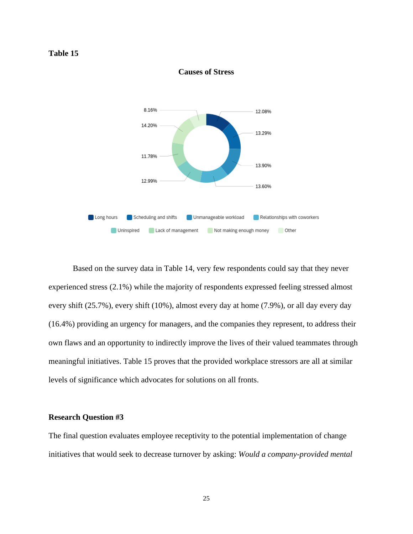

**Causes of Stress**

Based on the survey data in Table 14, very few respondents could say that they never experienced stress (2.1%) while the majority of respondents expressed feeling stressed almost every shift (25.7%), every shift (10%), almost every day at home (7.9%), or all day every day (16.4%) providing an urgency for managers, and the companies they represent, to address their own flaws and an opportunity to indirectly improve the lives of their valued teammates through meaningful initiatives. Table 15 proves that the provided workplace stressors are all at similar levels of significance which advocates for solutions on all fronts.

### **Research Question #3**

The final question evaluates employee receptivity to the potential implementation of change initiatives that would seek to decrease turnover by asking: *Would a company-provided mental*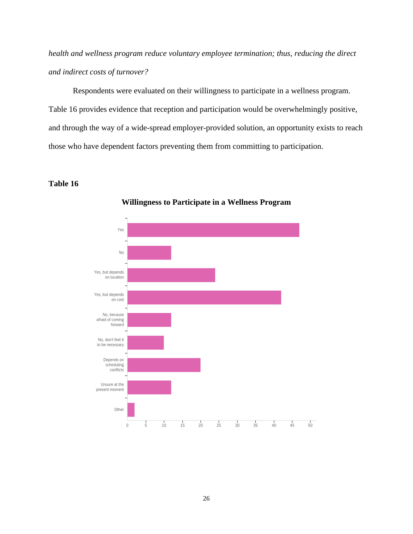*health and wellness program reduce voluntary employee termination; thus, reducing the direct and indirect costs of turnover?* 

Respondents were evaluated on their willingness to participate in a wellness program. Table 16 provides evidence that reception and participation would be overwhelmingly positive, and through the way of a wide-spread employer-provided solution, an opportunity exists to reach those who have dependent factors preventing them from committing to participation.

### **Table 16**



**Willingness to Participate in a Wellness Program**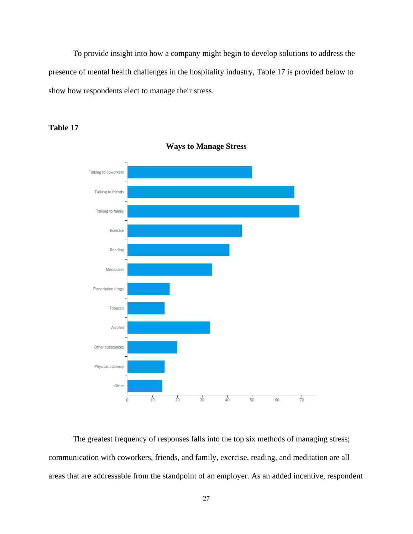To provide insight into how a company might begin to develop solutions to address the presence of mental health challenges in the hospitality industry, Table 17 is provided below to show how respondents elect to manage their stress.





**Ways to Manage Stress**

The greatest frequency of responses falls into the top six methods of managing stress; communication with coworkers, friends, and family, exercise, reading, and meditation are all areas that are addressable from the standpoint of an employer. As an added incentive, respondent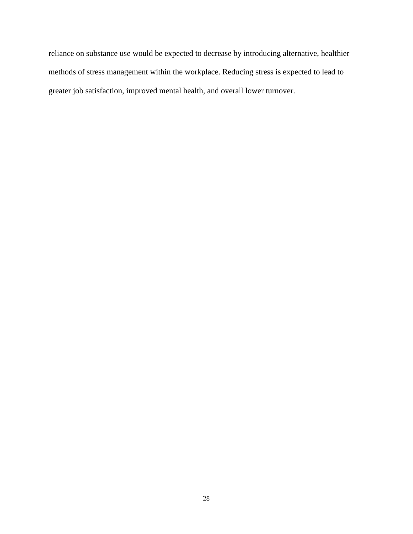reliance on substance use would be expected to decrease by introducing alternative, healthier methods of stress management within the workplace. Reducing stress is expected to lead to greater job satisfaction, improved mental health, and overall lower turnover.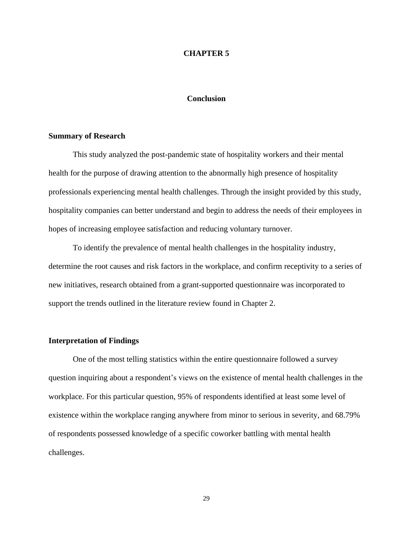#### **CHAPTER 5**

#### **Conclusion**

#### **Summary of Research**

This study analyzed the post-pandemic state of hospitality workers and their mental health for the purpose of drawing attention to the abnormally high presence of hospitality professionals experiencing mental health challenges. Through the insight provided by this study, hospitality companies can better understand and begin to address the needs of their employees in hopes of increasing employee satisfaction and reducing voluntary turnover.

To identify the prevalence of mental health challenges in the hospitality industry, determine the root causes and risk factors in the workplace, and confirm receptivity to a series of new initiatives, research obtained from a grant-supported questionnaire was incorporated to support the trends outlined in the literature review found in Chapter 2.

#### **Interpretation of Findings**

One of the most telling statistics within the entire questionnaire followed a survey question inquiring about a respondent's views on the existence of mental health challenges in the workplace. For this particular question, 95% of respondents identified at least some level of existence within the workplace ranging anywhere from minor to serious in severity, and 68.79% of respondents possessed knowledge of a specific coworker battling with mental health challenges.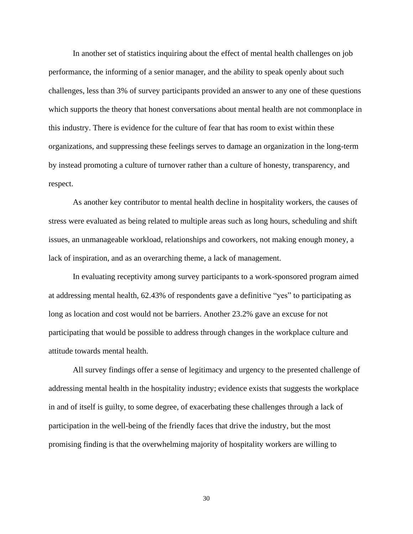In another set of statistics inquiring about the effect of mental health challenges on job performance, the informing of a senior manager, and the ability to speak openly about such challenges, less than 3% of survey participants provided an answer to any one of these questions which supports the theory that honest conversations about mental health are not commonplace in this industry. There is evidence for the culture of fear that has room to exist within these organizations, and suppressing these feelings serves to damage an organization in the long-term by instead promoting a culture of turnover rather than a culture of honesty, transparency, and respect.

As another key contributor to mental health decline in hospitality workers, the causes of stress were evaluated as being related to multiple areas such as long hours, scheduling and shift issues, an unmanageable workload, relationships and coworkers, not making enough money, a lack of inspiration, and as an overarching theme, a lack of management.

In evaluating receptivity among survey participants to a work-sponsored program aimed at addressing mental health, 62.43% of respondents gave a definitive "yes" to participating as long as location and cost would not be barriers. Another 23.2% gave an excuse for not participating that would be possible to address through changes in the workplace culture and attitude towards mental health.

All survey findings offer a sense of legitimacy and urgency to the presented challenge of addressing mental health in the hospitality industry; evidence exists that suggests the workplace in and of itself is guilty, to some degree, of exacerbating these challenges through a lack of participation in the well-being of the friendly faces that drive the industry, but the most promising finding is that the overwhelming majority of hospitality workers are willing to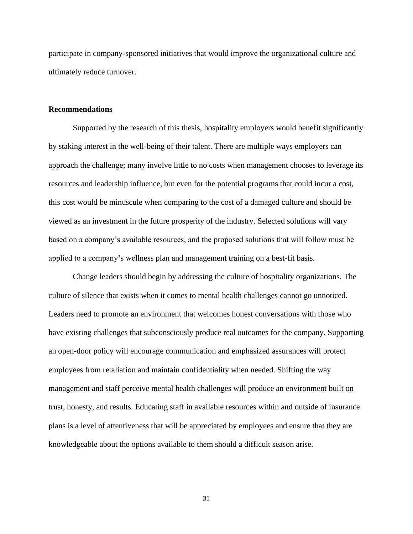participate in company-sponsored initiatives that would improve the organizational culture and ultimately reduce turnover.

#### **Recommendations**

Supported by the research of this thesis, hospitality employers would benefit significantly by staking interest in the well-being of their talent. There are multiple ways employers can approach the challenge; many involve little to no costs when management chooses to leverage its resources and leadership influence, but even for the potential programs that could incur a cost, this cost would be minuscule when comparing to the cost of a damaged culture and should be viewed as an investment in the future prosperity of the industry. Selected solutions will vary based on a company's available resources, and the proposed solutions that will follow must be applied to a company's wellness plan and management training on a best-fit basis.

Change leaders should begin by addressing the culture of hospitality organizations. The culture of silence that exists when it comes to mental health challenges cannot go unnoticed. Leaders need to promote an environment that welcomes honest conversations with those who have existing challenges that subconsciously produce real outcomes for the company. Supporting an open-door policy will encourage communication and emphasized assurances will protect employees from retaliation and maintain confidentiality when needed. Shifting the way management and staff perceive mental health challenges will produce an environment built on trust, honesty, and results. Educating staff in available resources within and outside of insurance plans is a level of attentiveness that will be appreciated by employees and ensure that they are knowledgeable about the options available to them should a difficult season arise.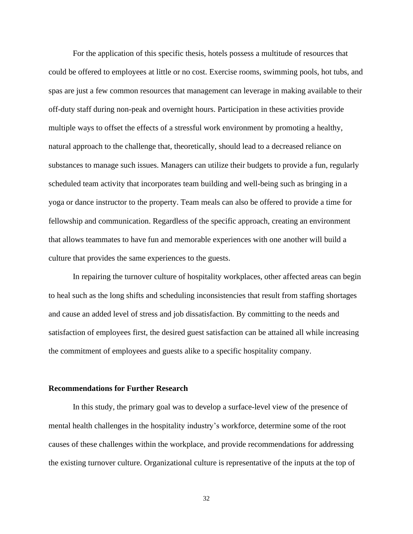For the application of this specific thesis, hotels possess a multitude of resources that could be offered to employees at little or no cost. Exercise rooms, swimming pools, hot tubs, and spas are just a few common resources that management can leverage in making available to their off-duty staff during non-peak and overnight hours. Participation in these activities provide multiple ways to offset the effects of a stressful work environment by promoting a healthy, natural approach to the challenge that, theoretically, should lead to a decreased reliance on substances to manage such issues. Managers can utilize their budgets to provide a fun, regularly scheduled team activity that incorporates team building and well-being such as bringing in a yoga or dance instructor to the property. Team meals can also be offered to provide a time for fellowship and communication. Regardless of the specific approach, creating an environment that allows teammates to have fun and memorable experiences with one another will build a culture that provides the same experiences to the guests.

In repairing the turnover culture of hospitality workplaces, other affected areas can begin to heal such as the long shifts and scheduling inconsistencies that result from staffing shortages and cause an added level of stress and job dissatisfaction. By committing to the needs and satisfaction of employees first, the desired guest satisfaction can be attained all while increasing the commitment of employees and guests alike to a specific hospitality company.

#### **Recommendations for Further Research**

In this study, the primary goal was to develop a surface-level view of the presence of mental health challenges in the hospitality industry's workforce, determine some of the root causes of these challenges within the workplace, and provide recommendations for addressing the existing turnover culture. Organizational culture is representative of the inputs at the top of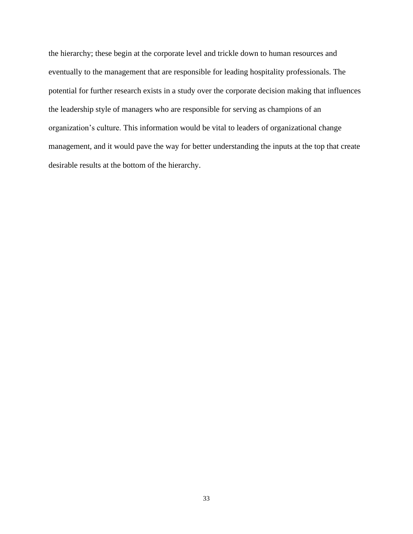the hierarchy; these begin at the corporate level and trickle down to human resources and eventually to the management that are responsible for leading hospitality professionals. The potential for further research exists in a study over the corporate decision making that influences the leadership style of managers who are responsible for serving as champions of an organization's culture. This information would be vital to leaders of organizational change management, and it would pave the way for better understanding the inputs at the top that create desirable results at the bottom of the hierarchy.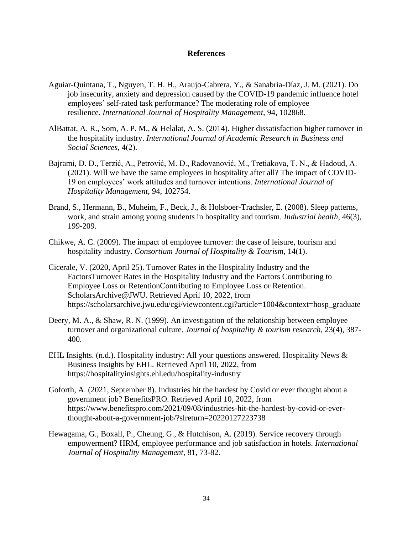### **References**

- Aguiar-Quintana, T., Nguyen, T. H. H., Araujo-Cabrera, Y., & Sanabria-Díaz, J. M. (2021). Do job insecurity, anxiety and depression caused by the COVID-19 pandemic influence hotel employees' self-rated task performance? The moderating role of employee resilience. *International Journal of Hospitality Management*, 94, 102868.
- AlBattat, A. R., Som, A. P. M., & Helalat, A. S. (2014). Higher dissatisfaction higher turnover in the hospitality industry. *International Journal of Academic Research in Business and Social Sciences*, 4(2).
- Bajrami, D. D., Terzić, A., Petrović, M. D., Radovanović, M., Tretiakova, T. N., & Hadoud, A. (2021). Will we have the same employees in hospitality after all? The impact of COVID-19 on employees' work attitudes and turnover intentions. *International Journal of Hospitality Management*, 94, 102754.
- Brand, S., Hermann, B., Muheim, F., Beck, J., & Holsboer-Trachsler, E. (2008). Sleep patterns, work, and strain among young students in hospitality and tourism. *Industrial health*, 46(3), 199-209.
- Chikwe, A. C. (2009). The impact of employee turnover: the case of leisure, tourism and hospitality industry. *Consortium Journal of Hospitality & Tourism*, 14(1).
- Cicerale, V. (2020, April 25). Turnover Rates in the Hospitality Industry and the FactorsTurnover Rates in the Hospitality Industry and the Factors Contributing to Employee Loss or RetentionContributing to Employee Loss or Retention. ScholarsArchive@JWU. Retrieved April 10, 2022, from https://scholarsarchive.jwu.edu/cgi/viewcontent.cgi?article=1004&context=hosp\_graduate
- Deery, M. A., & Shaw, R. N. (1999). An investigation of the relationship between employee turnover and organizational culture. *Journal of hospitality & tourism research*, 23(4), 387- 400.
- EHL Insights. (n.d.). Hospitality industry: All your questions answered. Hospitality News & Business Insights by EHL. Retrieved April 10, 2022, from https://hospitalityinsights.ehl.edu/hospitality-industry
- Goforth, A. (2021, September 8). Industries hit the hardest by Covid or ever thought about a government job? BenefitsPRO. Retrieved April 10, 2022, from https://www.benefitspro.com/2021/09/08/industries-hit-the-hardest-by-covid-or-everthought-about-a-government-job/?slreturn=20220127223738
- Hewagama, G., Boxall, P., Cheung, G., & Hutchison, A. (2019). Service recovery through empowerment? HRM, employee performance and job satisfaction in hotels. *International Journal of Hospitality Management,* 81, 73-82.